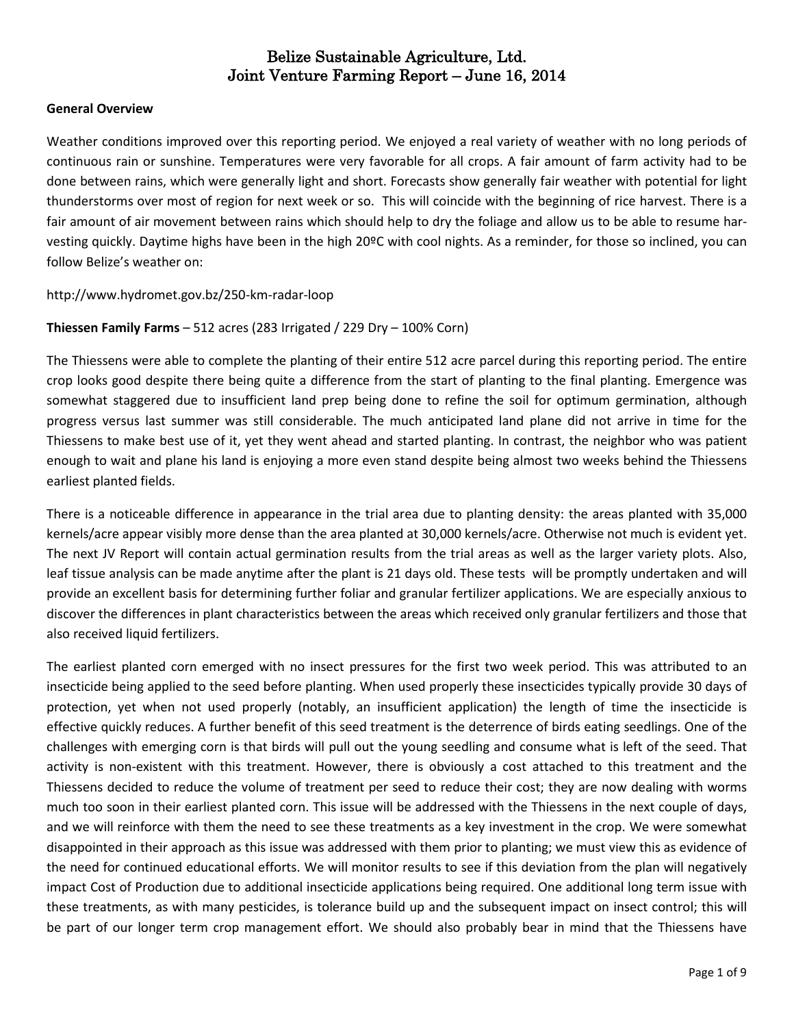#### **General Overview**

Weather conditions improved over this reporting period. We enjoyed a real variety of weather with no long periods of continuous rain or sunshine. Temperatures were very favorable for all crops. A fair amount of farm activity had to be done between rains, which were generally light and short. Forecasts show generally fair weather with potential for light thunderstorms over most of region for next week or so. This will coincide with the beginning of rice harvest. There is a fair amount of air movement between rains which should help to dry the foliage and allow us to be able to resume harvesting quickly. Daytime highs have been in the high 20ºC with cool nights. As a reminder, for those so inclined, you can follow Belize's weather on:

#### <http://www.hydromet.gov.bz/250-km-radar-loop>

#### **Thiessen Family Farms** – 512 acres (283 Irrigated / 229 Dry – 100% Corn)

The Thiessens were able to complete the planting of their entire 512 acre parcel during this reporting period. The entire crop looks good despite there being quite a difference from the start of planting to the final planting. Emergence was somewhat staggered due to insufficient land prep being done to refine the soil for optimum germination, although progress versus last summer was still considerable. The much anticipated land plane did not arrive in time for the Thiessens to make best use of it, yet they went ahead and started planting. In contrast, the neighbor who was patient enough to wait and plane his land is enjoying a more even stand despite being almost two weeks behind the Thiessens earliest planted fields.

There is a noticeable difference in appearance in the trial area due to planting density: the areas planted with 35,000 kernels/acre appear visibly more dense than the area planted at 30,000 kernels/acre. Otherwise not much is evident yet. The next JV Report will contain actual germination results from the trial areas as well as the larger variety plots. Also, leaf tissue analysis can be made anytime after the plant is 21 days old. These tests will be promptly undertaken and will provide an excellent basis for determining further foliar and granular fertilizer applications. We are especially anxious to discover the differences in plant characteristics between the areas which received only granular fertilizers and those that also received liquid fertilizers.

The earliest planted corn emerged with no insect pressures for the first two week period. This was attributed to an insecticide being applied to the seed before planting. When used properly these insecticides typically provide 30 days of protection, yet when not used properly (notably, an insufficient application) the length of time the insecticide is effective quickly reduces. A further benefit of this seed treatment is the deterrence of birds eating seedlings. One of the challenges with emerging corn is that birds will pull out the young seedling and consume what is left of the seed. That activity is non-existent with this treatment. However, there is obviously a cost attached to this treatment and the Thiessens decided to reduce the volume of treatment per seed to reduce their cost; they are now dealing with worms much too soon in their earliest planted corn. This issue will be addressed with the Thiessens in the next couple of days, and we will reinforce with them the need to see these treatments as a key investment in the crop. We were somewhat disappointed in their approach as this issue was addressed with them prior to planting; we must view this as evidence of the need for continued educational efforts. We will monitor results to see if this deviation from the plan will negatively impact Cost of Production due to additional insecticide applications being required. One additional long term issue with these treatments, as with many pesticides, is tolerance build up and the subsequent impact on insect control; this will be part of our longer term crop management effort. We should also probably bear in mind that the Thiessens have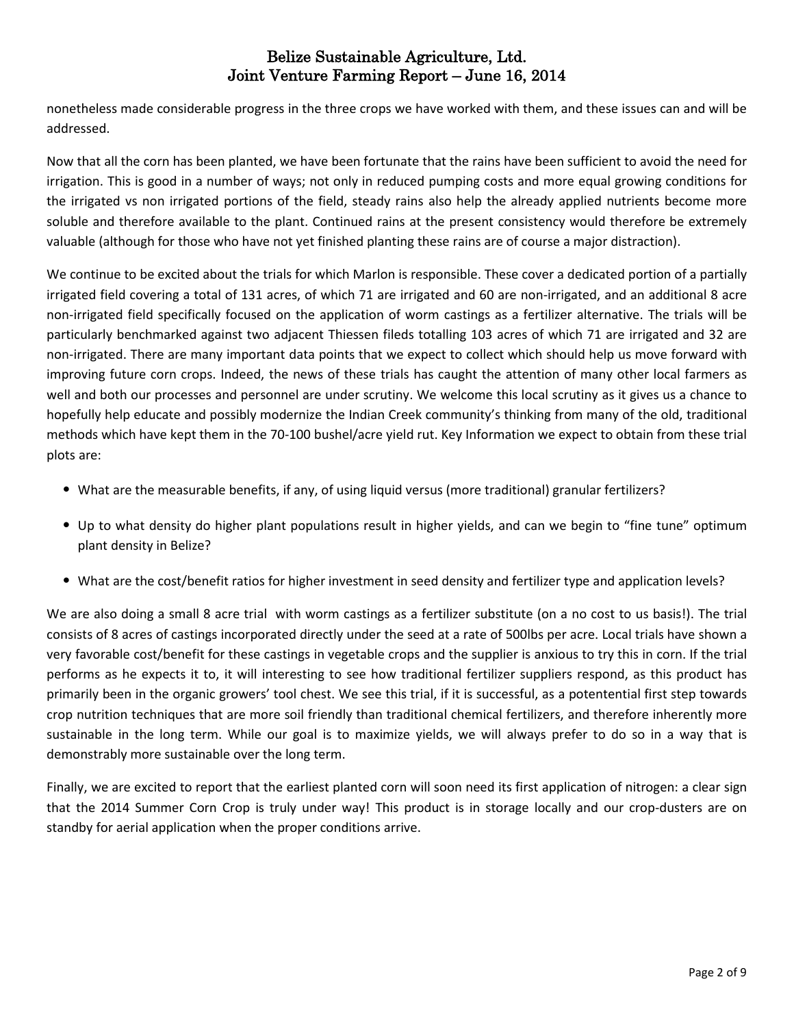nonetheless made considerable progress in the three crops we have worked with them, and these issues can and will be addressed.

Now that all the corn has been planted, we have been fortunate that the rains have been sufficient to avoid the need for irrigation. This is good in a number of ways; not only in reduced pumping costs and more equal growing conditions for the irrigated vs non irrigated portions of the field, steady rains also help the already applied nutrients become more soluble and therefore available to the plant. Continued rains at the present consistency would therefore be extremely valuable (although for those who have not yet finished planting these rains are of course a major distraction).

We continue to be excited about the trials for which Marlon is responsible. These cover a dedicated portion of a partially irrigated field covering a total of 131 acres, of which 71 are irrigated and 60 are non-irrigated, and an additional 8 acre non-irrigated field specifically focused on the application of worm castings as a fertilizer alternative. The trials will be particularly benchmarked against two adjacent Thiessen fileds totalling 103 acres of which 71 are irrigated and 32 are non-irrigated. There are many important data points that we expect to collect which should help us move forward with improving future corn crops. Indeed, the news of these trials has caught the attention of many other local farmers as well and both our processes and personnel are under scrutiny. We welcome this local scrutiny as it gives us a chance to hopefully help educate and possibly modernize the Indian Creek community's thinking from many of the old, traditional methods which have kept them in the 70-100 bushel/acre yield rut. Key Information we expect to obtain from these trial plots are:

- What are the measurable benefits, if any, of using liquid versus (more traditional) granular fertilizers?
- Up to what density do higher plant populations result in higher yields, and can we begin to "fine tune" optimum plant density in Belize?
- What are the cost/benefit ratios for higher investment in seed density and fertilizer type and application levels?

We are also doing a small 8 acre trial with worm castings as a fertilizer substitute (on a no cost to us basis!). The trial consists of 8 acres of castings incorporated directly under the seed at a rate of 500lbs per acre. Local trials have shown a very favorable cost/benefit for these castings in vegetable crops and the supplier is anxious to try this in corn. If the trial performs as he expects it to, it will interesting to see how traditional fertilizer suppliers respond, as this product has primarily been in the organic growers' tool chest. We see this trial, if it is successful, as a potentential first step towards crop nutrition techniques that are more soil friendly than traditional chemical fertilizers, and therefore inherently more sustainable in the long term. While our goal is to maximize yields, we will always prefer to do so in a way that is demonstrably more sustainable over the long term.

Finally, we are excited to report that the earliest planted corn will soon need its first application of nitrogen: a clear sign that the 2014 Summer Corn Crop is truly under way! This product is in storage locally and our crop-dusters are on standby for aerial application when the proper conditions arrive.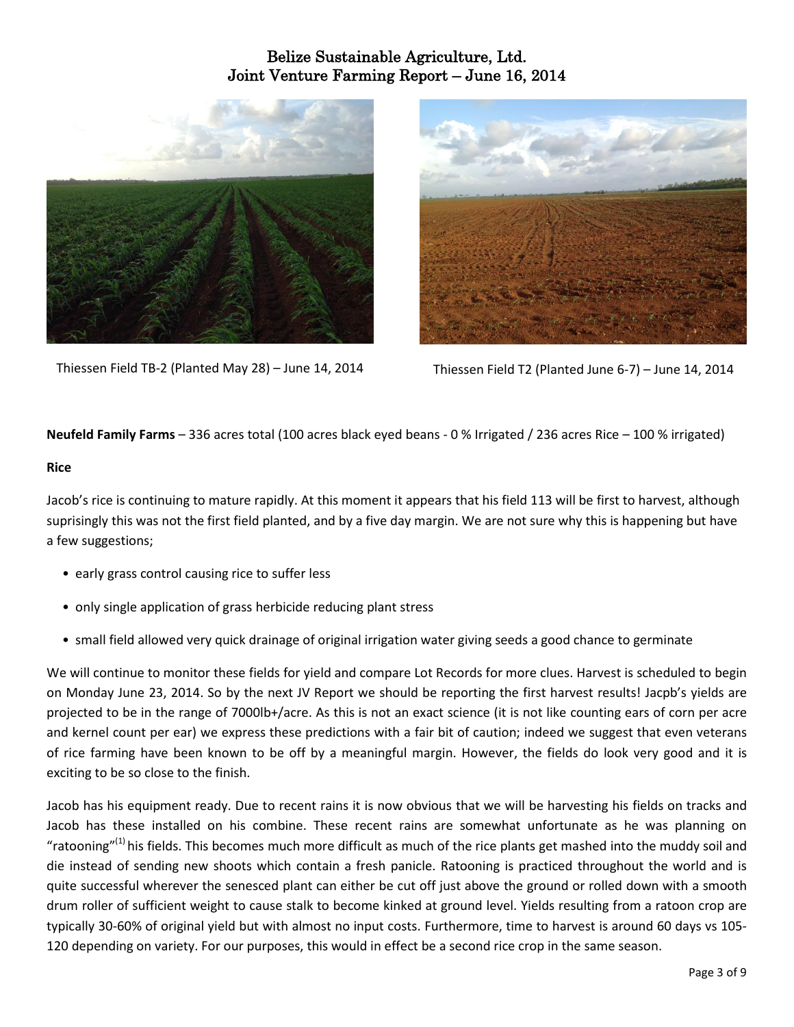

Thiessen Field TB-2 (Planted May 28) – June 14, 2014 Thiessen Field T2 (Planted June 6-7) – June 14, 2014



#### **Neufeld Family Farms** – 336 acres total (100 acres black eyed beans - 0 % Irrigated / 236 acres Rice – 100 % irrigated)

#### **Rice**

Jacob's rice is continuing to mature rapidly. At this moment it appears that his field 113 will be first to harvest, although suprisingly this was not the first field planted, and by a five day margin. We are not sure why this is happening but have a few suggestions;

- early grass control causing rice to suffer less
- only single application of grass herbicide reducing plant stress
- small field allowed very quick drainage of original irrigation water giving seeds a good chance to germinate

We will continue to monitor these fields for yield and compare Lot Records for more clues. Harvest is scheduled to begin on Monday June 23, 2014. So by the next JV Report we should be reporting the first harvest results! Jacpb's yields are projected to be in the range of 7000lb+/acre. As this is not an exact science (it is not like counting ears of corn per acre and kernel count per ear) we express these predictions with a fair bit of caution; indeed we suggest that even veterans of rice farming have been known to be off by a meaningful margin. However, the fields do look very good and it is exciting to be so close to the finish.

Jacob has his equipment ready. Due to recent rains it is now obvious that we will be harvesting his fields on tracks and Jacob has these installed on his combine. These recent rains are somewhat unfortunate as he was planning on "ratooning"<sup>(1)</sup> his fields. This becomes much more difficult as much of the rice plants get mashed into the muddy soil and die instead of sending new shoots which contain a fresh panicle. Ratooning is practiced throughout the world and is quite successful wherever the senesced plant can either be cut off just above the ground or rolled down with a smooth drum roller of sufficient weight to cause stalk to become kinked at ground level. Yields resulting from a ratoon crop are typically 30-60% of original yield but with almost no input costs. Furthermore, time to harvest is around 60 days vs 105- 120 depending on variety. For our purposes, this would in effect be a second rice crop in the same season.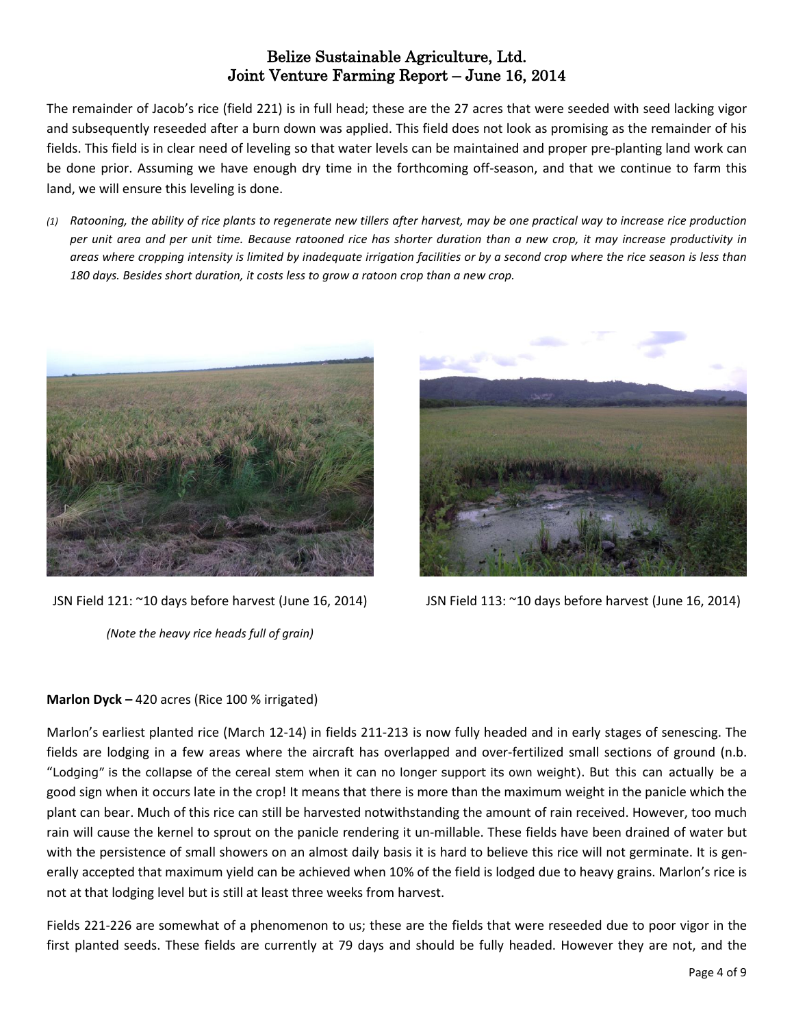The remainder of Jacob's rice (field 221) is in full head; these are the 27 acres that were seeded with seed lacking vigor and subsequently reseeded after a burn down was applied. This field does not look as promising as the remainder of his fields. This field is in clear need of leveling so that water levels can be maintained and proper pre-planting land work can be done prior. Assuming we have enough dry time in the forthcoming off-season, and that we continue to farm this land, we will ensure this leveling is done.

(1) Ratooning, the ability of rice plants to regenerate new tillers after harvest, may be one practical way to increase rice production per unit area and per unit time. Because ratooned rice has shorter duration than a new crop, it may increase productivity in areas where cropping intensity is limited by inadequate irrigation facilities or by a second crop where the rice season is less than *180 days. Besides short duration, it costs less to grow a ratoon crop than a new crop.*



JSN Field 121: ~10 days before harvest (June 16, 2014)

*(Note the heavy rice heads full of grain)*



JSN Field 113: ~10 days before harvest (June 16, 2014)

### **Marlon Dyck –** 420 acres (Rice 100 % irrigated)

Marlon's earliest planted rice (March 12-14) in fields 211-213 is now fully headed and in early stages of senescing. The fields are lodging in a few areas where the aircraft has overlapped and over-fertilized small sections of ground (n.b. "Lodging" is the collapse of the cereal stem when it can no longer support its own weight). But this can actually be a good sign when it occurs late in the crop! It means that there is more than the maximum weight in the panicle which the plant can bear. Much of this rice can still be harvested notwithstanding the amount of rain received. However, too much rain will cause the kernel to sprout on the panicle rendering it un-millable. These fields have been drained of water but with the persistence of small showers on an almost daily basis it is hard to believe this rice will not germinate. It is generally accepted that maximum yield can be achieved when 10% of the field is lodged due to heavy grains. Marlon's rice is not at that lodging level but is still at least three weeks from harvest.

Fields 221-226 are somewhat of a phenomenon to us; these are the fields that were reseeded due to poor vigor in the first planted seeds. These fields are currently at 79 days and should be fully headed. However they are not, and the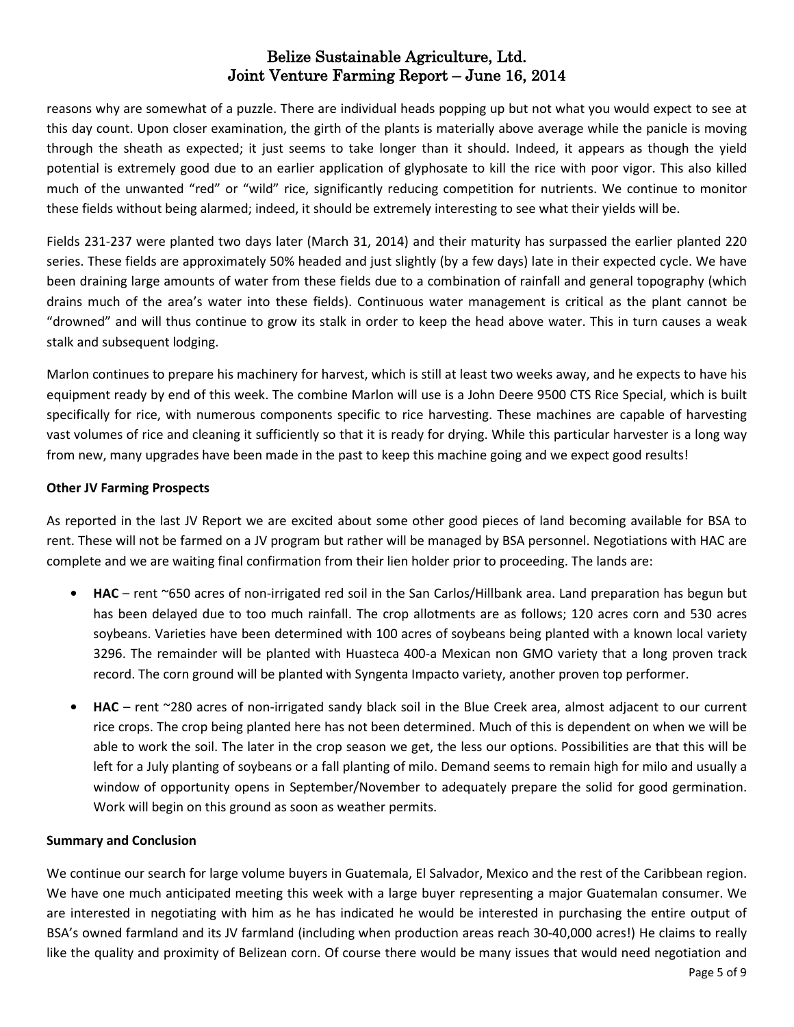reasons why are somewhat of a puzzle. There are individual heads popping up but not what you would expect to see at this day count. Upon closer examination, the girth of the plants is materially above average while the panicle is moving through the sheath as expected; it just seems to take longer than it should. Indeed, it appears as though the yield potential is extremely good due to an earlier application of glyphosate to kill the rice with poor vigor. This also killed much of the unwanted "red" or "wild" rice, significantly reducing competition for nutrients. We continue to monitor these fields without being alarmed; indeed, it should be extremely interesting to see what their yields will be.

Fields 231-237 were planted two days later (March 31, 2014) and their maturity has surpassed the earlier planted 220 series. These fields are approximately 50% headed and just slightly (by a few days) late in their expected cycle. We have been draining large amounts of water from these fields due to a combination of rainfall and general topography (which drains much of the area's water into these fields). Continuous water management is critical as the plant cannot be "drowned" and will thus continue to grow its stalk in order to keep the head above water. This in turn causes a weak stalk and subsequent lodging.

Marlon continues to prepare his machinery for harvest, which is still at least two weeks away, and he expects to have his equipment ready by end of this week. The combine Marlon will use is a John Deere 9500 CTS Rice Special, which is built specifically for rice, with numerous components specific to rice harvesting. These machines are capable of harvesting vast volumes of rice and cleaning it sufficiently so that it is ready for drying. While this particular harvester is a long way from new, many upgrades have been made in the past to keep this machine going and we expect good results!

#### **Other JV Farming Prospects**

As reported in the last JV Report we are excited about some other good pieces of land becoming available for BSA to rent. These will not be farmed on a JV program but rather will be managed by BSA personnel. Negotiations with HAC are complete and we are waiting final confirmation from their lien holder prior to proceeding. The lands are:

- **• HAC** rent ~650 acres of non-irrigated red soil in the San Carlos/Hillbank area. Land preparation has begun but has been delayed due to too much rainfall. The crop allotments are as follows; 120 acres corn and 530 acres soybeans. Varieties have been determined with 100 acres of soybeans being planted with a known local variety 3296. The remainder will be planted with Huasteca 400-a Mexican non GMO variety that a long proven track record. The corn ground will be planted with Syngenta Impacto variety, another proven top performer.
- **• HAC** rent ~280 acres of non-irrigated sandy black soil in the Blue Creek area, almost adjacent to our current rice crops. The crop being planted here has not been determined. Much of this is dependent on when we will be able to work the soil. The later in the crop season we get, the less our options. Possibilities are that this will be left for a July planting of soybeans or a fall planting of milo. Demand seems to remain high for milo and usually a window of opportunity opens in September/November to adequately prepare the solid for good germination. Work will begin on this ground as soon as weather permits.

#### **Summary and Conclusion**

We continue our search for large volume buyers in Guatemala, El Salvador, Mexico and the rest of the Caribbean region. We have one much anticipated meeting this week with a large buyer representing a major Guatemalan consumer. We are interested in negotiating with him as he has indicated he would be interested in purchasing the entire output of BSA's owned farmland and its JV farmland (including when production areas reach 30-40,000 acres!) He claims to really like the quality and proximity of Belizean corn. Of course there would be many issues that would need negotiation and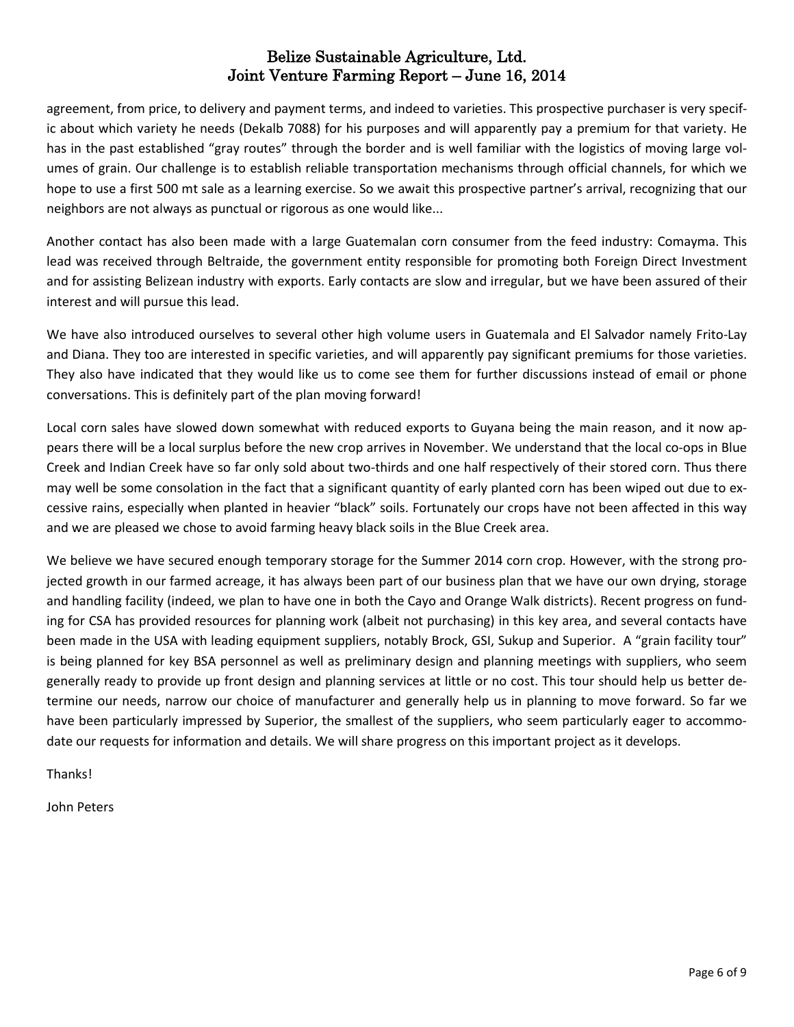agreement, from price, to delivery and payment terms, and indeed to varieties. This prospective purchaser is very specific about which variety he needs (Dekalb 7088) for his purposes and will apparently pay a premium for that variety. He has in the past established "gray routes" through the border and is well familiar with the logistics of moving large volumes of grain. Our challenge is to establish reliable transportation mechanisms through official channels, for which we hope to use a first 500 mt sale as a learning exercise. So we await this prospective partner's arrival, recognizing that our neighbors are not always as punctual or rigorous as one would like...

Another contact has also been made with a large Guatemalan corn consumer from the feed industry: Comayma. This lead was received through Beltraide, the government entity responsible for promoting both Foreign Direct Investment and for assisting Belizean industry with exports. Early contacts are slow and irregular, but we have been assured of their interest and will pursue this lead.

We have also introduced ourselves to several other high volume users in Guatemala and El Salvador namely Frito-Lay and Diana. They too are interested in specific varieties, and will apparently pay significant premiums for those varieties. They also have indicated that they would like us to come see them for further discussions instead of email or phone conversations. This is definitely part of the plan moving forward!

Local corn sales have slowed down somewhat with reduced exports to Guyana being the main reason, and it now appears there will be a local surplus before the new crop arrives in November. We understand that the local co-ops in Blue Creek and Indian Creek have so far only sold about two-thirds and one half respectively of their stored corn. Thus there may well be some consolation in the fact that a significant quantity of early planted corn has been wiped out due to excessive rains, especially when planted in heavier "black" soils. Fortunately our crops have not been affected in this way and we are pleased we chose to avoid farming heavy black soils in the Blue Creek area.

We believe we have secured enough temporary storage for the Summer 2014 corn crop. However, with the strong projected growth in our farmed acreage, it has always been part of our business plan that we have our own drying, storage and handling facility (indeed, we plan to have one in both the Cayo and Orange Walk districts). Recent progress on funding for CSA has provided resources for planning work (albeit not purchasing) in this key area, and several contacts have been made in the USA with leading equipment suppliers, notably Brock, GSI, Sukup and Superior. A "grain facility tour" is being planned for key BSA personnel as well as preliminary design and planning meetings with suppliers, who seem generally ready to provide up front design and planning services at little or no cost. This tour should help us better determine our needs, narrow our choice of manufacturer and generally help us in planning to move forward. So far we have been particularly impressed by Superior, the smallest of the suppliers, who seem particularly eager to accommodate our requests for information and details. We will share progress on this important project as it develops.

Thanks!

John Peters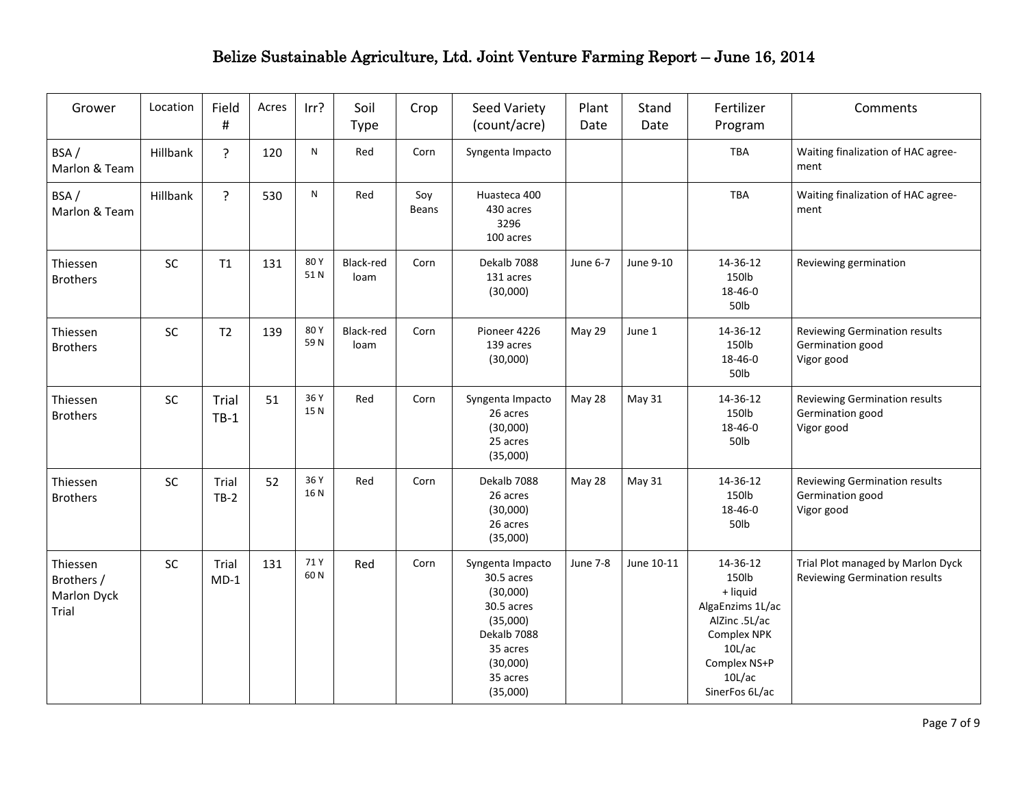| Grower                                         | Location  | Field<br>$\#$   | Acres | Irr?        | Soil<br><b>Type</b> | Crop         | Seed Variety<br>(count/acre)                                                                                                        | Plant<br>Date   | Stand<br>Date | Fertilizer<br>Program                                                                                                                   | Comments                                                           |
|------------------------------------------------|-----------|-----------------|-------|-------------|---------------------|--------------|-------------------------------------------------------------------------------------------------------------------------------------|-----------------|---------------|-----------------------------------------------------------------------------------------------------------------------------------------|--------------------------------------------------------------------|
| BSA/<br>Marlon & Team                          | Hillbank  | ?               | 120   | ${\sf N}$   | Red                 | Corn         | Syngenta Impacto                                                                                                                    |                 |               | TBA                                                                                                                                     | Waiting finalization of HAC agree-<br>ment                         |
| BSA/<br>Marlon & Team                          | Hillbank  | ?               | 530   | N           | Red                 | Soy<br>Beans | Huasteca 400<br>430 acres<br>3296<br>100 acres                                                                                      |                 |               | TBA                                                                                                                                     | Waiting finalization of HAC agree-<br>ment                         |
| Thiessen<br><b>Brothers</b>                    | SC        | T1              | 131   | 80Y<br>51N  | Black-red<br>loam   | Corn         | Dekalb 7088<br>131 acres<br>(30,000)                                                                                                | June 6-7        | June 9-10     | 14-36-12<br>150lb<br>18-46-0<br>50lb                                                                                                    | Reviewing germination                                              |
| Thiessen<br><b>Brothers</b>                    | <b>SC</b> | T2              | 139   | 80Y<br>59N  | Black-red<br>loam   | Corn         | Pioneer 4226<br>139 acres<br>(30,000)                                                                                               | May 29          | June 1        | 14-36-12<br>150lb<br>18-46-0<br>50lb                                                                                                    | Reviewing Germination results<br>Germination good<br>Vigor good    |
| Thiessen<br><b>Brothers</b>                    | <b>SC</b> | Trial<br>$TB-1$ | 51    | 36 Y<br>15N | Red                 | Corn         | Syngenta Impacto<br>26 acres<br>(30,000)<br>25 acres<br>(35,000)                                                                    | May 28          | <b>May 31</b> | 14-36-12<br>150lb<br>18-46-0<br>50lb                                                                                                    | Reviewing Germination results<br>Germination good<br>Vigor good    |
| Thiessen<br><b>Brothers</b>                    | SC        | Trial<br>$TB-2$ | 52    | 36 Y<br>16N | Red                 | Corn         | Dekalb 7088<br>26 acres<br>(30,000)<br>26 acres<br>(35,000)                                                                         | May 28          | May 31        | 14-36-12<br>150lb<br>18-46-0<br>50lb                                                                                                    | Reviewing Germination results<br>Germination good<br>Vigor good    |
| Thiessen<br>Brothers /<br>Marlon Dyck<br>Trial | SC        | Trial<br>$MD-1$ | 131   | 71 Y<br>60N | Red                 | Corn         | Syngenta Impacto<br>30.5 acres<br>(30,000)<br>30.5 acres<br>(35,000)<br>Dekalb 7088<br>35 acres<br>(30,000)<br>35 acres<br>(35,000) | <b>June 7-8</b> | June 10-11    | 14-36-12<br>150lb<br>+ liquid<br>AlgaEnzims 1L/ac<br>AlZinc .5L/ac<br>Complex NPK<br>10L/ac<br>Complex NS+P<br>10L/ac<br>SinerFos 6L/ac | Trial Plot managed by Marlon Dyck<br>Reviewing Germination results |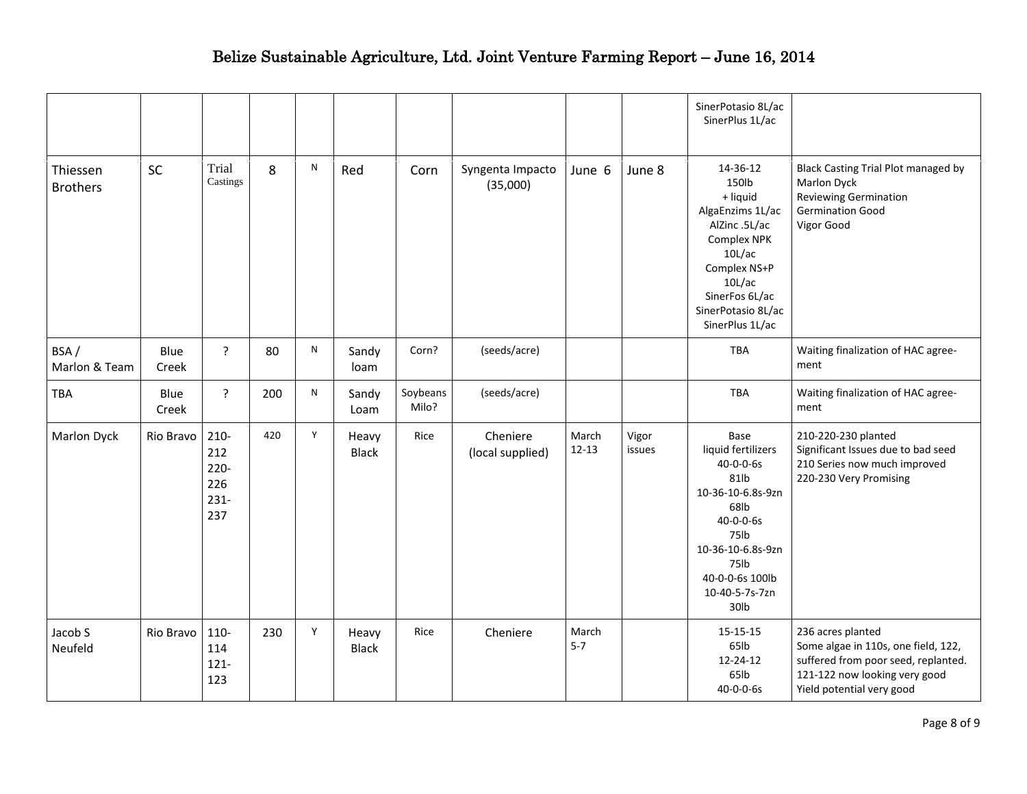|                             |               |                                                    |     |              |                       |                   |                              |                    |                 | SinerPotasio 8L/ac<br>SinerPlus 1L/ac                                                                                                                                            |                                                                                                                                                               |
|-----------------------------|---------------|----------------------------------------------------|-----|--------------|-----------------------|-------------------|------------------------------|--------------------|-----------------|----------------------------------------------------------------------------------------------------------------------------------------------------------------------------------|---------------------------------------------------------------------------------------------------------------------------------------------------------------|
| Thiessen<br><b>Brothers</b> | SC            | Trial<br>Castings                                  | 8   | $\mathsf{N}$ | Red                   | Corn              | Syngenta Impacto<br>(35,000) | June 6             | June 8          | 14-36-12<br>150lb<br>+ liquid<br>AlgaEnzims 1L/ac<br>AlZinc .5L/ac<br>Complex NPK<br>10L/ac<br>Complex NS+P<br>10L/ac<br>SinerFos 6L/ac<br>SinerPotasio 8L/ac<br>SinerPlus 1L/ac | Black Casting Trial Plot managed by<br>Marlon Dyck<br><b>Reviewing Germination</b><br><b>Germination Good</b><br>Vigor Good                                   |
| BSA/<br>Marlon & Team       | Blue<br>Creek | ?                                                  | 80  | ${\sf N}$    | Sandy<br>loam         | Corn?             | (seeds/acre)                 |                    |                 | <b>TBA</b>                                                                                                                                                                       | Waiting finalization of HAC agree-<br>ment                                                                                                                    |
| TBA                         | Blue<br>Creek | $\overline{?}$                                     | 200 | ${\sf N}$    | Sandy<br>Loam         | Soybeans<br>Milo? | (seeds/acre)                 |                    |                 | <b>TBA</b>                                                                                                                                                                       | Waiting finalization of HAC agree-<br>ment                                                                                                                    |
| Marlon Dyck                 | Rio Bravo     | $210 -$<br>212<br>$220 -$<br>226<br>$231 -$<br>237 | 420 | Y            | Heavy<br><b>Black</b> | Rice              | Cheniere<br>(local supplied) | March<br>$12 - 13$ | Vigor<br>issues | Base<br>liquid fertilizers<br>40-0-0-6s<br>81lb<br>10-36-10-6.8s-9zn<br>68lb<br>40-0-0-6s<br>75lb<br>10-36-10-6.8s-9zn<br>75lb<br>40-0-0-6s 100lb<br>10-40-5-7s-7zn<br>30lb      | 210-220-230 planted<br>Significant Issues due to bad seed<br>210 Series now much improved<br>220-230 Very Promising                                           |
| Jacob S<br>Neufeld          | Rio Bravo     | $110 -$<br>114<br>$121 -$<br>123                   | 230 | Y            | Heavy<br><b>Black</b> | Rice              | Cheniere                     | March<br>$5 - 7$   |                 | 15-15-15<br>65lb<br>12-24-12<br>65lb<br>$40 - 0 - 0 - 6s$                                                                                                                        | 236 acres planted<br>Some algae in 110s, one field, 122,<br>suffered from poor seed, replanted.<br>121-122 now looking very good<br>Yield potential very good |